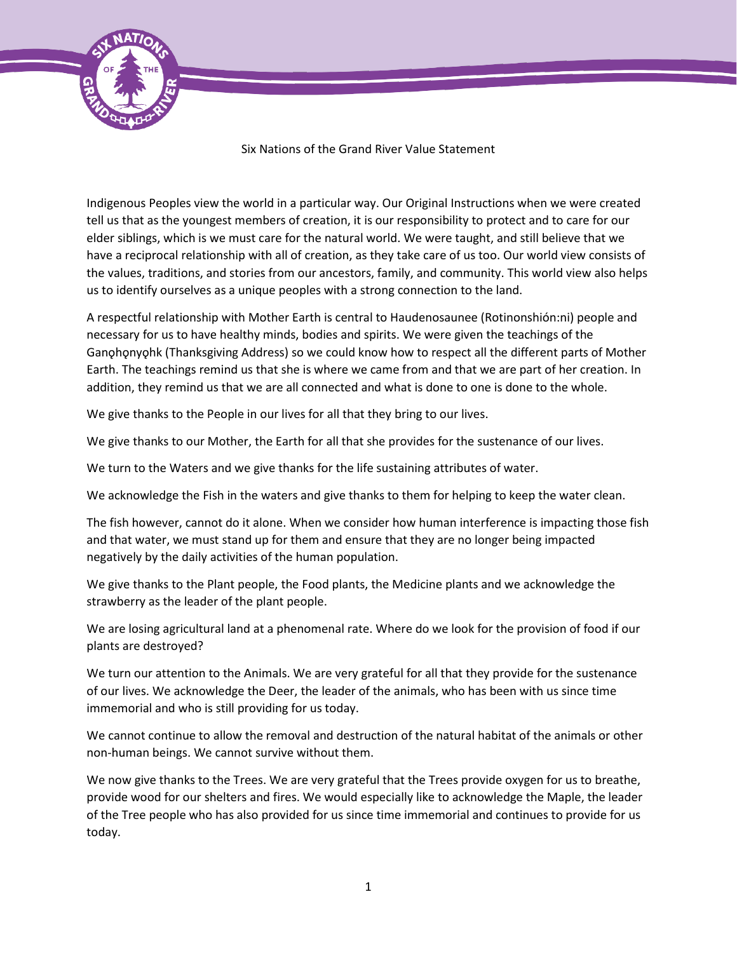

## Six Nations of the Grand River Value Statement

Indigenous Peoples view the world in a particular way. Our Original Instructions when we were created tell us that as the youngest members of creation, it is our responsibility to protect and to care for our elder siblings, which is we must care for the natural world. We were taught, and still believe that we have a reciprocal relationship with all of creation, as they take care of us too. Our world view consists of the values, traditions, and stories from our ancestors, family, and community. This world view also helps us to identify ourselves as a unique peoples with a strong connection to the land.

A respectful relationship with Mother Earth is central to Haudenosaunee (Rotinonshión:ni) people and necessary for us to have healthy minds, bodies and spirits. We were given the teachings of the Ganohonyohk (Thanksgiving Address) so we could know how to respect all the different parts of Mother Earth. The teachings remind us that she is where we came from and that we are part of her creation. In addition, they remind us that we are all connected and what is done to one is done to the whole.

We give thanks to the People in our lives for all that they bring to our lives.

We give thanks to our Mother, the Earth for all that she provides for the sustenance of our lives.

We turn to the Waters and we give thanks for the life sustaining attributes of water.

We acknowledge the Fish in the waters and give thanks to them for helping to keep the water clean.

The fish however, cannot do it alone. When we consider how human interference is impacting those fish and that water, we must stand up for them and ensure that they are no longer being impacted negatively by the daily activities of the human population.

We give thanks to the Plant people, the Food plants, the Medicine plants and we acknowledge the strawberry as the leader of the plant people.

We are losing agricultural land at a phenomenal rate. Where do we look for the provision of food if our plants are destroyed?

We turn our attention to the Animals. We are very grateful for all that they provide for the sustenance of our lives. We acknowledge the Deer, the leader of the animals, who has been with us since time immemorial and who is still providing for us today.

We cannot continue to allow the removal and destruction of the natural habitat of the animals or other non-human beings. We cannot survive without them.

We now give thanks to the Trees. We are very grateful that the Trees provide oxygen for us to breathe, provide wood for our shelters and fires. We would especially like to acknowledge the Maple, the leader of the Tree people who has also provided for us since time immemorial and continues to provide for us today.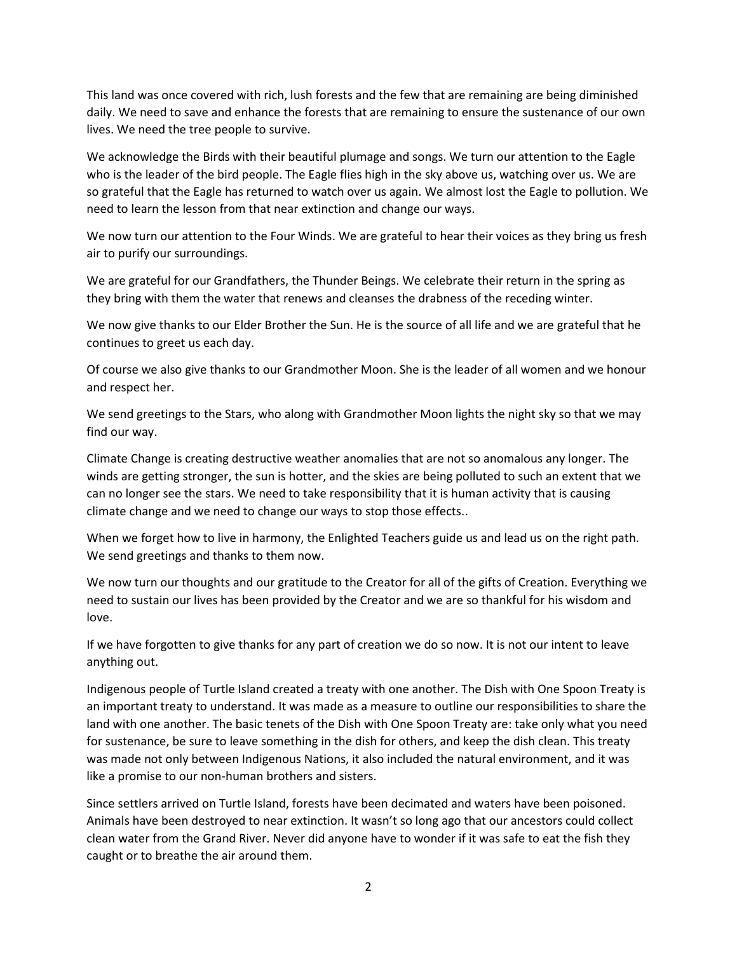This land was once covered with rich, lush forests and the few that are remaining are being diminished daily. We need to save and enhance the forests that are remaining to ensure the sustenance of our own lives. We need the tree people to survive.

We acknowledge the Birds with their beautiful plumage and songs. We turn our attention to the Eagle who is the leader of the bird people. The Eagle flies high in the sky above us, watching over us. We are so grateful that the Eagle has returned to watch over us again. We almost lost the Eagle to pollution. We need to learn the lesson from that near extinction and change our ways.

We now turn our attention to the Four Winds. We are grateful to hear their voices as they bring us fresh air to purify our surroundings.

We are grateful for our Grandfathers, the Thunder Beings. We celebrate their return in the spring as they bring with them the water that renews and cleanses the drabness of the receding winter.

We now give thanks to our Elder Brother the Sun. He is the source of all life and we are grateful that he continues to greet us each day.

Of course we also give thanks to our Grandmother Moon. She is the leader of all women and we honour and respect her.

We send greetings to the Stars, who along with Grandmother Moon lights the night sky so that we may find our way.

Climate Change is creating destructive weather anomalies that are not so anomalous any longer. The winds are getting stronger, the sun is hotter, and the skies are being polluted to such an extent that we can no longer see the stars. We need to take responsibility that it is human activity that is causing climate change and we need to change our ways to stop those effects..

When we forget how to live in harmony, the Enlighted Teachers guide us and lead us on the right path. We send greetings and thanks to them now.

We now turn our thoughts and our gratitude to the Creator for all of the gifts of Creation. Everything we need to sustain our lives has been provided by the Creator and we are so thankful for his wisdom and love.

If we have forgotten to give thanks for any part of creation we do so now. It is not our intent to leave anything out.

Indigenous people of Turtle Island created a treaty with one another. The Dish with One Spoon Treaty is an important treaty to understand. It was made as a measure to outline our responsibilities to share the land with one another. The basic tenets of the Dish with One Spoon Treaty are: take only what you need for sustenance, be sure to leave something in the dish for others, and keep the dish clean. This treaty was made not only between Indigenous Nations, it also included the natural environment, and it was like a promise to our non-human brothers and sisters.

Since settlers arrived on Turtle Island, forests have been decimated and waters have been poisoned. Animals have been destroyed to near extinction. It wasn't so long ago that our ancestors could collect clean water from the Grand River. Never did anyone have to wonder if it was safe to eat the fish they caught or to breathe the air around them.